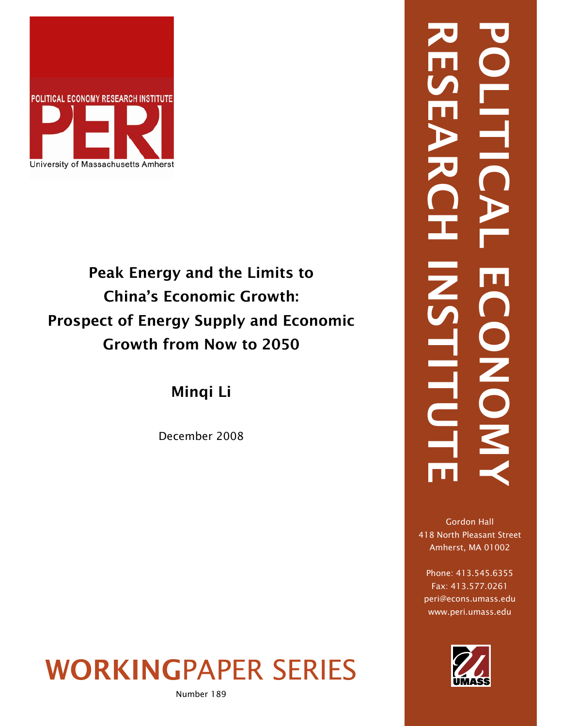

# Peak Energy and the Limits to China's Economic Growth: Prospect of Energy Supply and Economic Growth from Now to 2050

Minqi Li

December 2008

WORKINGPAPER SERIES

Number 189

# RESEARCH INSTITUTE POLITICAL ECONOMY  $\frac{1}{\sqrt{2}}$ INSTITU NONO.

Gordon Hall 418 North Pleasant Street Amherst, MA 01002

Phone: 413.545.6355 Fax: 413.577.0261 peri@econs.umass.edu www.peri.umass.edu

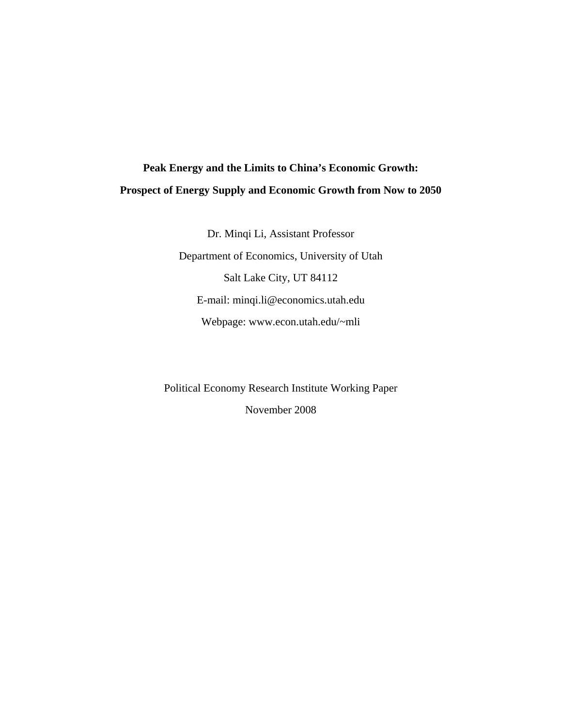## **Peak Energy and the Limits to China's Economic Growth: Prospect of Energy Supply and Economic Growth from Now to 2050**

Dr. Minqi Li, Assistant Professor Department of Economics, University of Utah Salt Lake City, UT 84112 E-mail: minqi.li@economics.utah.edu Webpage: www.econ.utah.edu/~mli

Political Economy Research Institute Working Paper November 2008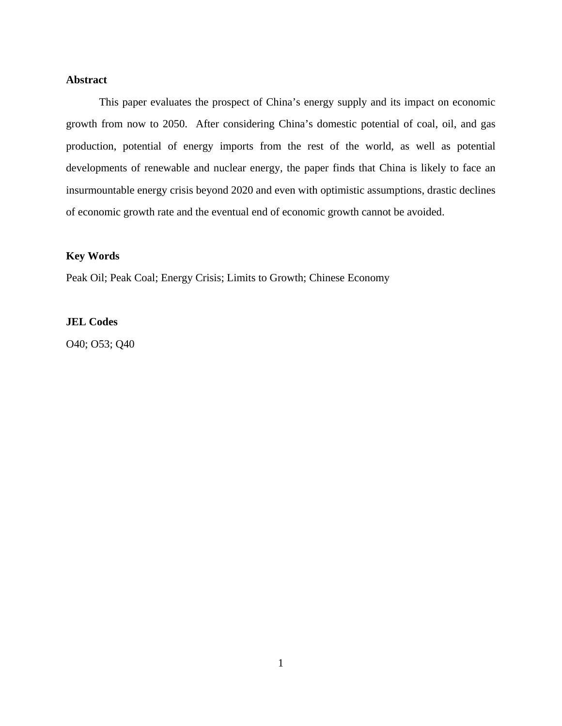#### **Abstract**

This paper evaluates the prospect of China's energy supply and its impact on economic growth from now to 2050. After considering China's domestic potential of coal, oil, and gas production, potential of energy imports from the rest of the world, as well as potential developments of renewable and nuclear energy, the paper finds that China is likely to face an insurmountable energy crisis beyond 2020 and even with optimistic assumptions, drastic declines of economic growth rate and the eventual end of economic growth cannot be avoided.

#### **Key Words**

Peak Oil; Peak Coal; Energy Crisis; Limits to Growth; Chinese Economy

#### **JEL Codes**

O40; O53; Q40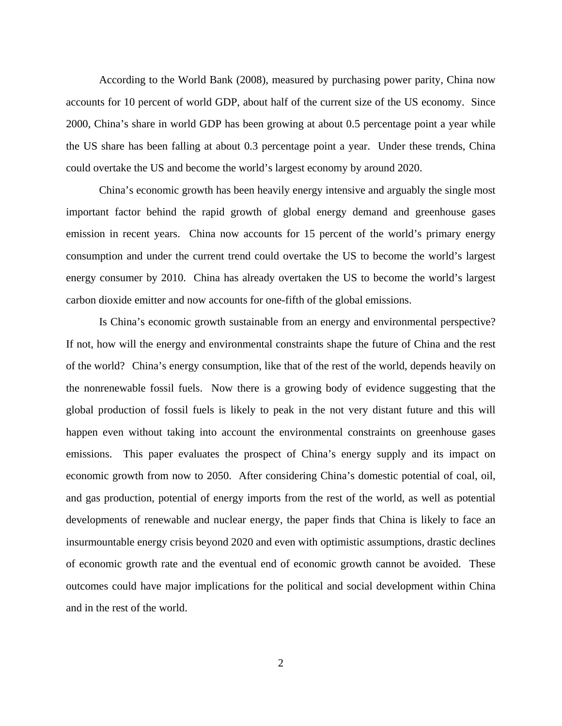According to the World Bank (2008), measured by purchasing power parity, China now accounts for 10 percent of world GDP, about half of the current size of the US economy. Since 2000, China's share in world GDP has been growing at about 0.5 percentage point a year while the US share has been falling at about 0.3 percentage point a year. Under these trends, China could overtake the US and become the world's largest economy by around 2020.

 China's economic growth has been heavily energy intensive and arguably the single most important factor behind the rapid growth of global energy demand and greenhouse gases emission in recent years. China now accounts for 15 percent of the world's primary energy consumption and under the current trend could overtake the US to become the world's largest energy consumer by 2010. China has already overtaken the US to become the world's largest carbon dioxide emitter and now accounts for one-fifth of the global emissions.

 Is China's economic growth sustainable from an energy and environmental perspective? If not, how will the energy and environmental constraints shape the future of China and the rest of the world? China's energy consumption, like that of the rest of the world, depends heavily on the nonrenewable fossil fuels. Now there is a growing body of evidence suggesting that the global production of fossil fuels is likely to peak in the not very distant future and this will happen even without taking into account the environmental constraints on greenhouse gases emissions. This paper evaluates the prospect of China's energy supply and its impact on economic growth from now to 2050. After considering China's domestic potential of coal, oil, and gas production, potential of energy imports from the rest of the world, as well as potential developments of renewable and nuclear energy, the paper finds that China is likely to face an insurmountable energy crisis beyond 2020 and even with optimistic assumptions, drastic declines of economic growth rate and the eventual end of economic growth cannot be avoided. These outcomes could have major implications for the political and social development within China and in the rest of the world.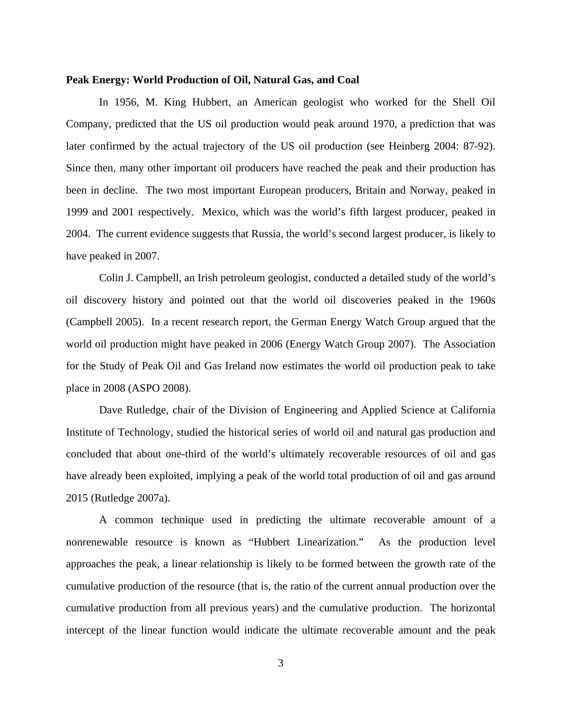#### **Peak Energy: World Production of Oil, Natural Gas, and Coal**

 In 1956, M. King Hubbert, an American geologist who worked for the Shell Oil Company, predicted that the US oil production would peak around 1970, a prediction that was later confirmed by the actual trajectory of the US oil production (see Heinberg 2004: 87-92). Since then, many other important oil producers have reached the peak and their production has been in decline. The two most important European producers, Britain and Norway, peaked in 1999 and 2001 respectively. Mexico, which was the world's fifth largest producer, peaked in 2004. The current evidence suggests that Russia, the world's second largest producer, is likely to have peaked in 2007.

 Colin J. Campbell, an Irish petroleum geologist, conducted a detailed study of the world's oil discovery history and pointed out that the world oil discoveries peaked in the 1960s (Campbell 2005). In a recent research report, the German Energy Watch Group argued that the world oil production might have peaked in 2006 (Energy Watch Group 2007). The Association for the Study of Peak Oil and Gas Ireland now estimates the world oil production peak to take place in 2008 (ASPO 2008).

Dave Rutledge, chair of the Division of Engineering and Applied Science at California Institute of Technology, studied the historical series of world oil and natural gas production and concluded that about one-third of the world's ultimately recoverable resources of oil and gas have already been exploited, implying a peak of the world total production of oil and gas around 2015 (Rutledge 2007a).

A common technique used in predicting the ultimate recoverable amount of a nonrenewable resource is known as "Hubbert Linearization." As the production level approaches the peak, a linear relationship is likely to be formed between the growth rate of the cumulative production of the resource (that is, the ratio of the current annual production over the cumulative production from all previous years) and the cumulative production. The horizontal intercept of the linear function would indicate the ultimate recoverable amount and the peak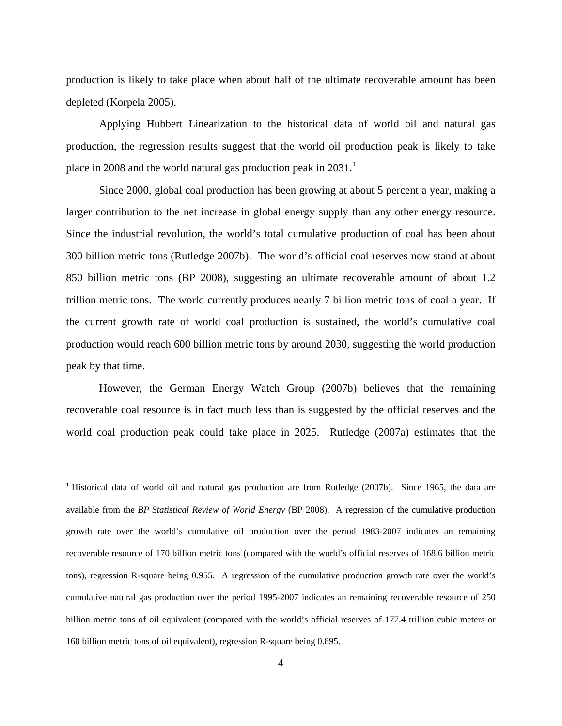production is likely to take place when about half of the ultimate recoverable amount has been depleted (Korpela 2005).

 Applying Hubbert Linearization to the historical data of world oil and natural gas production, the regression results suggest that the world oil production peak is likely to take place in 2008 and the world natural gas production peak in  $2031$  $2031$ .<sup>1</sup>

 Since 2000, global coal production has been growing at about 5 percent a year, making a larger contribution to the net increase in global energy supply than any other energy resource. Since the industrial revolution, the world's total cumulative production of coal has been about 300 billion metric tons (Rutledge 2007b). The world's official coal reserves now stand at about 850 billion metric tons (BP 2008), suggesting an ultimate recoverable amount of about 1.2 trillion metric tons. The world currently produces nearly 7 billion metric tons of coal a year. If the current growth rate of world coal production is sustained, the world's cumulative coal production would reach 600 billion metric tons by around 2030, suggesting the world production peak by that time.

 However, the German Energy Watch Group (2007b) believes that the remaining recoverable coal resource is in fact much less than is suggested by the official reserves and the world coal production peak could take place in 2025. Rutledge (2007a) estimates that the

 $\overline{a}$ 

<span id="page-5-0"></span><sup>&</sup>lt;sup>1</sup> Historical data of world oil and natural gas production are from Rutledge (2007b). Since 1965, the data are available from the *BP Statistical Review of World Energy* (BP 2008). A regression of the cumulative production growth rate over the world's cumulative oil production over the period 1983-2007 indicates an remaining recoverable resource of 170 billion metric tons (compared with the world's official reserves of 168.6 billion metric tons), regression R-square being 0.955. A regression of the cumulative production growth rate over the world's cumulative natural gas production over the period 1995-2007 indicates an remaining recoverable resource of 250 billion metric tons of oil equivalent (compared with the world's official reserves of 177.4 trillion cubic meters or 160 billion metric tons of oil equivalent), regression R-square being 0.895.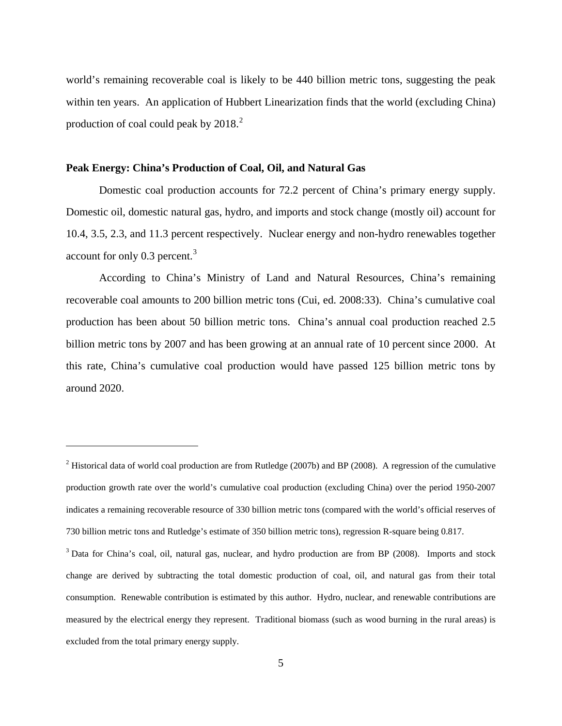world's remaining recoverable coal is likely to be 440 billion metric tons, suggesting the peak within ten years. An application of Hubbert Linearization finds that the world (excluding China) production of coal could peak by [2](#page-6-0)018.<sup>2</sup>

#### **Peak Energy: China's Production of Coal, Oil, and Natural Gas**

 $\overline{a}$ 

 Domestic coal production accounts for 72.2 percent of China's primary energy supply. Domestic oil, domestic natural gas, hydro, and imports and stock change (mostly oil) account for 10.4, 3.5, 2.3, and 11.3 percent respectively. Nuclear energy and non-hydro renewables together account for only 0.[3](#page-6-1) percent.<sup>3</sup>

According to China's Ministry of Land and Natural Resources, China's remaining recoverable coal amounts to 200 billion metric tons (Cui, ed. 2008:33). China's cumulative coal production has been about 50 billion metric tons. China's annual coal production reached 2.5 billion metric tons by 2007 and has been growing at an annual rate of 10 percent since 2000. At this rate, China's cumulative coal production would have passed 125 billion metric tons by around 2020.

<span id="page-6-0"></span><sup>&</sup>lt;sup>2</sup> Historical data of world coal production are from Rutledge (2007b) and BP (2008). A regression of the cumulative production growth rate over the world's cumulative coal production (excluding China) over the period 1950-2007 indicates a remaining recoverable resource of 330 billion metric tons (compared with the world's official reserves of 730 billion metric tons and Rutledge's estimate of 350 billion metric tons), regression R-square being 0.817.

<span id="page-6-1"></span><sup>&</sup>lt;sup>3</sup> Data for China's coal, oil, natural gas, nuclear, and hydro production are from BP (2008). Imports and stock change are derived by subtracting the total domestic production of coal, oil, and natural gas from their total consumption. Renewable contribution is estimated by this author. Hydro, nuclear, and renewable contributions are measured by the electrical energy they represent. Traditional biomass (such as wood burning in the rural areas) is excluded from the total primary energy supply.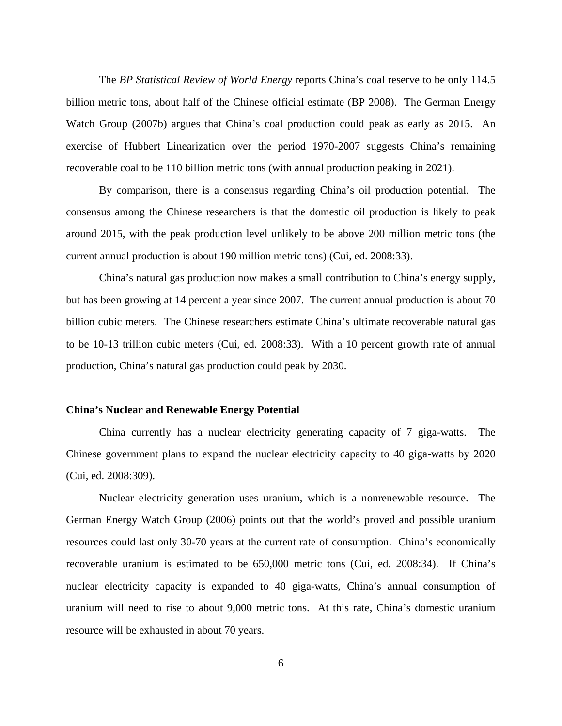The *BP Statistical Review of World Energy* reports China's coal reserve to be only 114.5 billion metric tons, about half of the Chinese official estimate (BP 2008). The German Energy Watch Group (2007b) argues that China's coal production could peak as early as 2015. An exercise of Hubbert Linearization over the period 1970-2007 suggests China's remaining recoverable coal to be 110 billion metric tons (with annual production peaking in 2021).

By comparison, there is a consensus regarding China's oil production potential. The consensus among the Chinese researchers is that the domestic oil production is likely to peak around 2015, with the peak production level unlikely to be above 200 million metric tons (the current annual production is about 190 million metric tons) (Cui, ed. 2008:33).

China's natural gas production now makes a small contribution to China's energy supply, but has been growing at 14 percent a year since 2007. The current annual production is about 70 billion cubic meters. The Chinese researchers estimate China's ultimate recoverable natural gas to be 10-13 trillion cubic meters (Cui, ed. 2008:33). With a 10 percent growth rate of annual production, China's natural gas production could peak by 2030.

#### **China's Nuclear and Renewable Energy Potential**

 China currently has a nuclear electricity generating capacity of 7 giga-watts. The Chinese government plans to expand the nuclear electricity capacity to 40 giga-watts by 2020 (Cui, ed. 2008:309).

 Nuclear electricity generation uses uranium, which is a nonrenewable resource. The German Energy Watch Group (2006) points out that the world's proved and possible uranium resources could last only 30-70 years at the current rate of consumption. China's economically recoverable uranium is estimated to be 650,000 metric tons (Cui, ed. 2008:34). If China's nuclear electricity capacity is expanded to 40 giga-watts, China's annual consumption of uranium will need to rise to about 9,000 metric tons. At this rate, China's domestic uranium resource will be exhausted in about 70 years.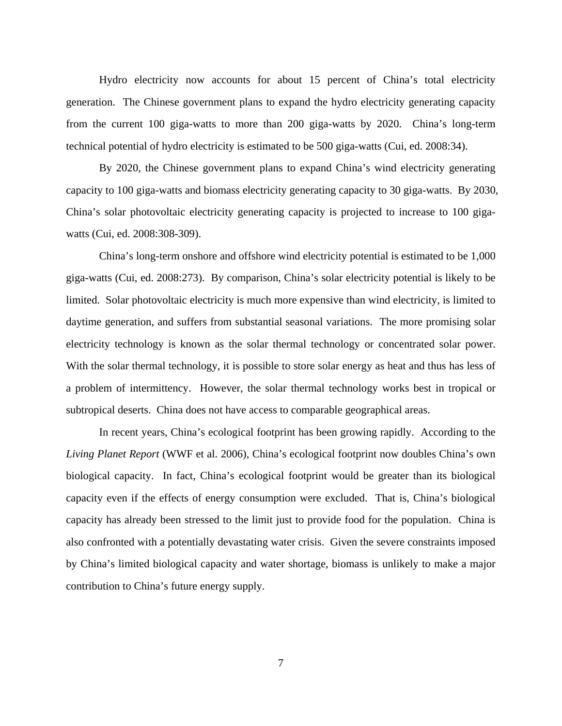Hydro electricity now accounts for about 15 percent of China's total electricity generation. The Chinese government plans to expand the hydro electricity generating capacity from the current 100 giga-watts to more than 200 giga-watts by 2020. China's long-term technical potential of hydro electricity is estimated to be 500 giga-watts (Cui, ed. 2008:34).

 By 2020, the Chinese government plans to expand China's wind electricity generating capacity to 100 giga-watts and biomass electricity generating capacity to 30 giga-watts. By 2030, China's solar photovoltaic electricity generating capacity is projected to increase to 100 gigawatts (Cui, ed. 2008:308-309).

 China's long-term onshore and offshore wind electricity potential is estimated to be 1,000 giga-watts (Cui, ed. 2008:273). By comparison, China's solar electricity potential is likely to be limited. Solar photovoltaic electricity is much more expensive than wind electricity, is limited to daytime generation, and suffers from substantial seasonal variations. The more promising solar electricity technology is known as the solar thermal technology or concentrated solar power. With the solar thermal technology, it is possible to store solar energy as heat and thus has less of a problem of intermittency. However, the solar thermal technology works best in tropical or subtropical deserts. China does not have access to comparable geographical areas.

 In recent years, China's ecological footprint has been growing rapidly. According to the *Living Planet Report* (WWF et al. 2006), China's ecological footprint now doubles China's own biological capacity. In fact, China's ecological footprint would be greater than its biological capacity even if the effects of energy consumption were excluded. That is, China's biological capacity has already been stressed to the limit just to provide food for the population. China is also confronted with a potentially devastating water crisis. Given the severe constraints imposed by China's limited biological capacity and water shortage, biomass is unlikely to make a major contribution to China's future energy supply.

7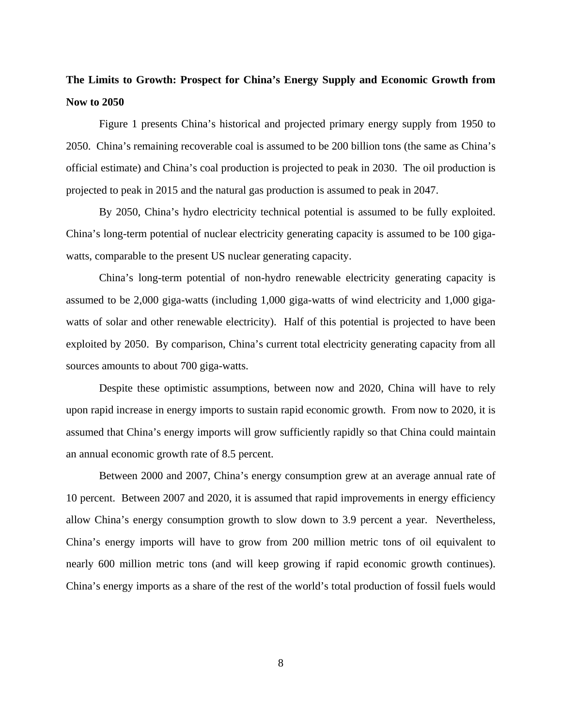### **The Limits to Growth: Prospect for China's Energy Supply and Economic Growth from Now to 2050**

 Figure 1 presents China's historical and projected primary energy supply from 1950 to 2050. China's remaining recoverable coal is assumed to be 200 billion tons (the same as China's official estimate) and China's coal production is projected to peak in 2030. The oil production is projected to peak in 2015 and the natural gas production is assumed to peak in 2047.

 By 2050, China's hydro electricity technical potential is assumed to be fully exploited. China's long-term potential of nuclear electricity generating capacity is assumed to be 100 gigawatts, comparable to the present US nuclear generating capacity.

 China's long-term potential of non-hydro renewable electricity generating capacity is assumed to be 2,000 giga-watts (including 1,000 giga-watts of wind electricity and 1,000 gigawatts of solar and other renewable electricity). Half of this potential is projected to have been exploited by 2050. By comparison, China's current total electricity generating capacity from all sources amounts to about 700 giga-watts.

 Despite these optimistic assumptions, between now and 2020, China will have to rely upon rapid increase in energy imports to sustain rapid economic growth. From now to 2020, it is assumed that China's energy imports will grow sufficiently rapidly so that China could maintain an annual economic growth rate of 8.5 percent.

 Between 2000 and 2007, China's energy consumption grew at an average annual rate of 10 percent. Between 2007 and 2020, it is assumed that rapid improvements in energy efficiency allow China's energy consumption growth to slow down to 3.9 percent a year. Nevertheless, China's energy imports will have to grow from 200 million metric tons of oil equivalent to nearly 600 million metric tons (and will keep growing if rapid economic growth continues). China's energy imports as a share of the rest of the world's total production of fossil fuels would

8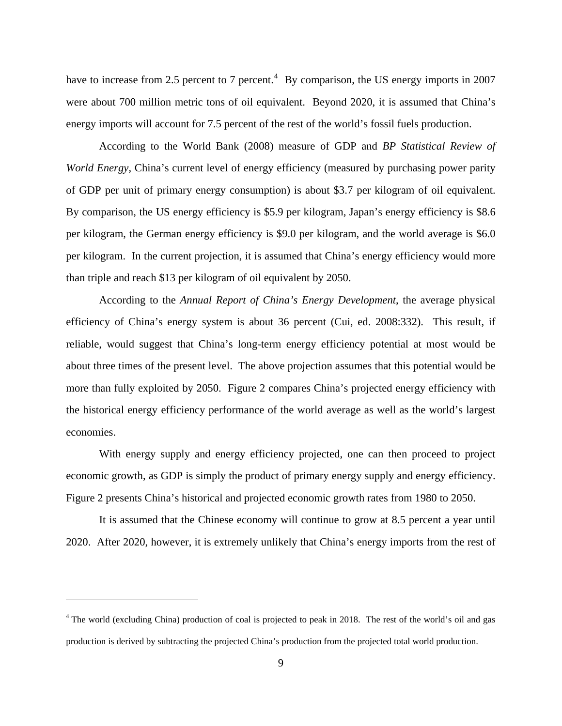have to increase from 2.5 percent to 7 percent.<sup>[4](#page-10-0)</sup> By comparison, the US energy imports in 2007 were about 700 million metric tons of oil equivalent. Beyond 2020, it is assumed that China's energy imports will account for 7.5 percent of the rest of the world's fossil fuels production.

 According to the World Bank (2008) measure of GDP and *BP Statistical Review of World Energy*, China's current level of energy efficiency (measured by purchasing power parity of GDP per unit of primary energy consumption) is about \$3.7 per kilogram of oil equivalent. By comparison, the US energy efficiency is \$5.9 per kilogram, Japan's energy efficiency is \$8.6 per kilogram, the German energy efficiency is \$9.0 per kilogram, and the world average is \$6.0 per kilogram. In the current projection, it is assumed that China's energy efficiency would more than triple and reach \$13 per kilogram of oil equivalent by 2050.

 According to the *Annual Report of China's Energy Development*, the average physical efficiency of China's energy system is about 36 percent (Cui, ed. 2008:332). This result, if reliable, would suggest that China's long-term energy efficiency potential at most would be about three times of the present level. The above projection assumes that this potential would be more than fully exploited by 2050. Figure 2 compares China's projected energy efficiency with the historical energy efficiency performance of the world average as well as the world's largest economies.

 With energy supply and energy efficiency projected, one can then proceed to project economic growth, as GDP is simply the product of primary energy supply and energy efficiency. Figure 2 presents China's historical and projected economic growth rates from 1980 to 2050.

 It is assumed that the Chinese economy will continue to grow at 8.5 percent a year until 2020. After 2020, however, it is extremely unlikely that China's energy imports from the rest of

 $\overline{a}$ 

<span id="page-10-0"></span><sup>&</sup>lt;sup>4</sup> The world (excluding China) production of coal is projected to peak in 2018. The rest of the world's oil and gas production is derived by subtracting the projected China's production from the projected total world production.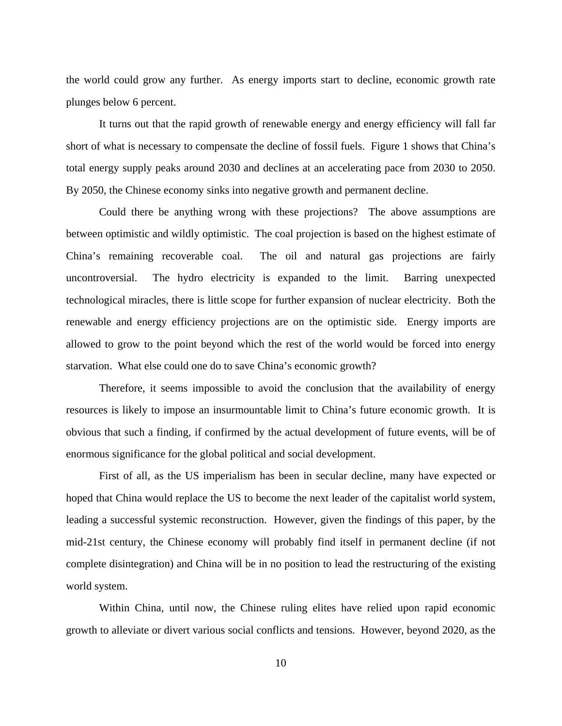the world could grow any further. As energy imports start to decline, economic growth rate plunges below 6 percent.

 It turns out that the rapid growth of renewable energy and energy efficiency will fall far short of what is necessary to compensate the decline of fossil fuels. Figure 1 shows that China's total energy supply peaks around 2030 and declines at an accelerating pace from 2030 to 2050. By 2050, the Chinese economy sinks into negative growth and permanent decline.

 Could there be anything wrong with these projections? The above assumptions are between optimistic and wildly optimistic. The coal projection is based on the highest estimate of China's remaining recoverable coal. The oil and natural gas projections are fairly uncontroversial. The hydro electricity is expanded to the limit. Barring unexpected technological miracles, there is little scope for further expansion of nuclear electricity. Both the renewable and energy efficiency projections are on the optimistic side. Energy imports are allowed to grow to the point beyond which the rest of the world would be forced into energy starvation. What else could one do to save China's economic growth?

 Therefore, it seems impossible to avoid the conclusion that the availability of energy resources is likely to impose an insurmountable limit to China's future economic growth. It is obvious that such a finding, if confirmed by the actual development of future events, will be of enormous significance for the global political and social development.

 First of all, as the US imperialism has been in secular decline, many have expected or hoped that China would replace the US to become the next leader of the capitalist world system, leading a successful systemic reconstruction. However, given the findings of this paper, by the mid-21st century, the Chinese economy will probably find itself in permanent decline (if not complete disintegration) and China will be in no position to lead the restructuring of the existing world system.

 Within China, until now, the Chinese ruling elites have relied upon rapid economic growth to alleviate or divert various social conflicts and tensions. However, beyond 2020, as the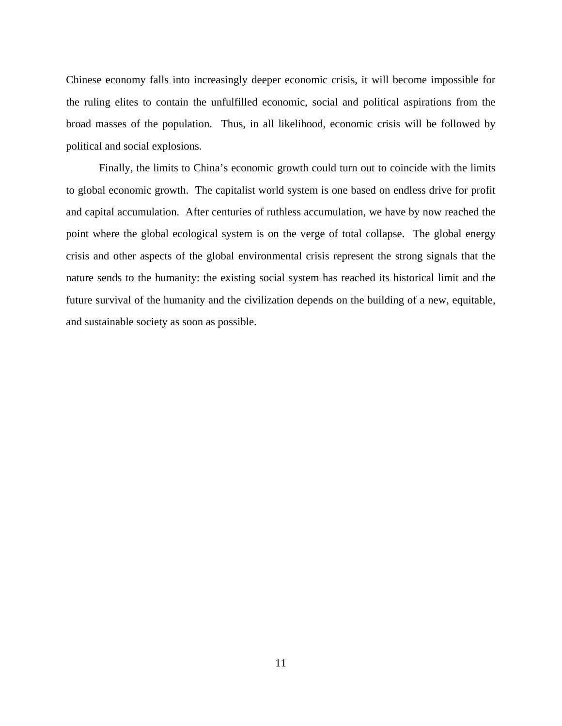Chinese economy falls into increasingly deeper economic crisis, it will become impossible for the ruling elites to contain the unfulfilled economic, social and political aspirations from the broad masses of the population. Thus, in all likelihood, economic crisis will be followed by political and social explosions.

 Finally, the limits to China's economic growth could turn out to coincide with the limits to global economic growth. The capitalist world system is one based on endless drive for profit and capital accumulation. After centuries of ruthless accumulation, we have by now reached the point where the global ecological system is on the verge of total collapse. The global energy crisis and other aspects of the global environmental crisis represent the strong signals that the nature sends to the humanity: the existing social system has reached its historical limit and the future survival of the humanity and the civilization depends on the building of a new, equitable, and sustainable society as soon as possible.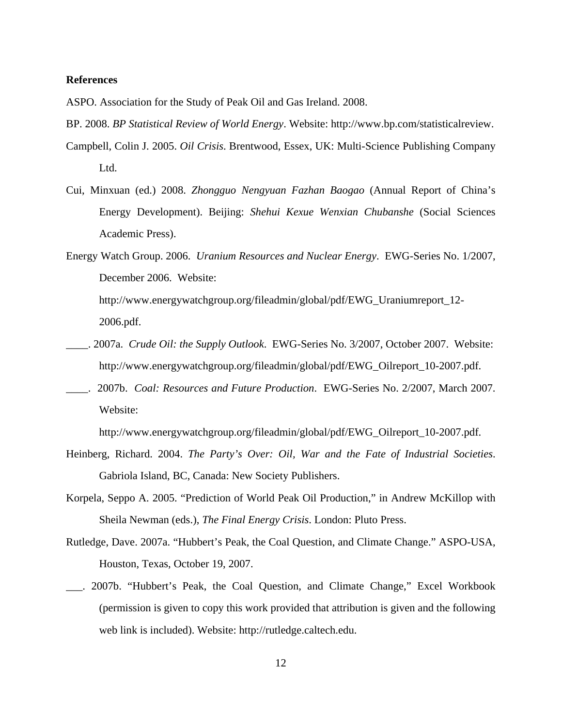#### **References**

ASPO. Association for the Study of Peak Oil and Gas Ireland. 2008.

- BP. 2008. *BP Statistical Review of World Energy*. Website: http://www.bp.com/statisticalreview.
- Campbell, Colin J. 2005. *Oil Crisis*. Brentwood, Essex, UK: Multi-Science Publishing Company Ltd.
- Cui, Minxuan (ed.) 2008. *Zhongguo Nengyuan Fazhan Baogao* (Annual Report of China's Energy Development). Beijing: *Shehui Kexue Wenxian Chubanshe* (Social Sciences Academic Press).
- Energy Watch Group. 2006. *Uranium Resources and Nuclear Energy*. EWG-Series No. 1/2007, December 2006. Website:

[http://www.energywatchgroup.org/fileadmin/global/pdf/EWG\\_Uraniumreport\\_12-](http://www.energywatchgroup.org/fileadmin/global/pdf/EWG_Uraniumreport_12-2006.pdf) [2006.pdf.](http://www.energywatchgroup.org/fileadmin/global/pdf/EWG_Uraniumreport_12-2006.pdf)

- \_\_\_\_. 2007a. *Crude Oil: the Supply Outlook*. EWG-Series No. 3/2007, October 2007. Website: [http://www.energywatchgroup.org/fileadmin/global/pdf/EWG\\_Oilreport\\_10-2007.pdf.](http://www.energywatchgroup.org/fileadmin/global/pdf/EWG_Oilreport_10-2007.pdf)
- \_\_\_\_. 2007b. *Coal: Resources and Future Production*. EWG-Series No. 2/2007, March 2007. Website:

[http://www.energywatchgroup.org/fileadmin/global/pdf/EWG\\_Oilreport\\_10-2007.pdf.](http://www.energywatchgroup.org/fileadmin/global/pdf/EWG_Oilreport_10-2007.pdf)

- Heinberg, Richard. 2004. *The Party's Over: Oil, War and the Fate of Industrial Societies*. Gabriola Island, BC, Canada: New Society Publishers.
- Korpela, Seppo A. 2005. "Prediction of World Peak Oil Production," in Andrew McKillop with Sheila Newman (eds.), *The Final Energy Crisis*. London: Pluto Press.
- Rutledge, Dave. 2007a. "Hubbert's Peak, the Coal Question, and Climate Change." ASPO-USA, Houston, Texas, October 19, 2007.
- \_\_\_. 2007b. "Hubbert's Peak, the Coal Question, and Climate Change," Excel Workbook (permission is given to copy this work provided that attribution is given and the following web link is included). Website: http://rutledge.caltech.edu.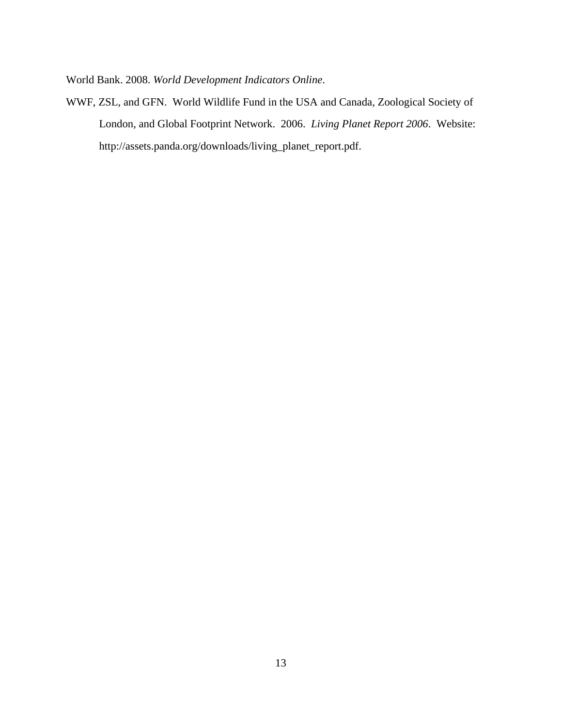World Bank. 2008. *World Development Indicators Online*.

WWF, ZSL, and GFN. World Wildlife Fund in the USA and Canada, Zoological Society of London, and Global Footprint Network. 2006. *Living Planet Report 2006*. Website: [http://assets.panda.org/downloads/living\\_planet\\_report.pdf.](http://assets.panda.org/downloads/living_planet_report.pdf)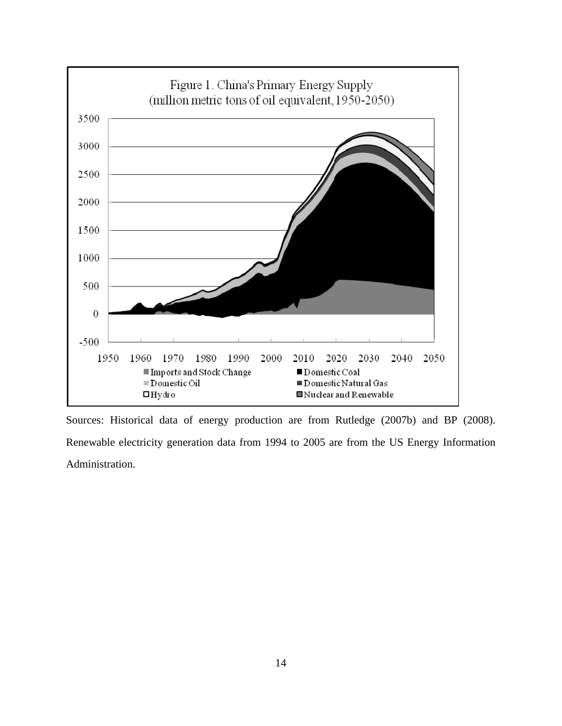

Sources: Historical data of energy production are from Rutledge (2007b) and BP (2008). Renewable electricity generation data from 1994 to 2005 are from the US Energy Information Administration.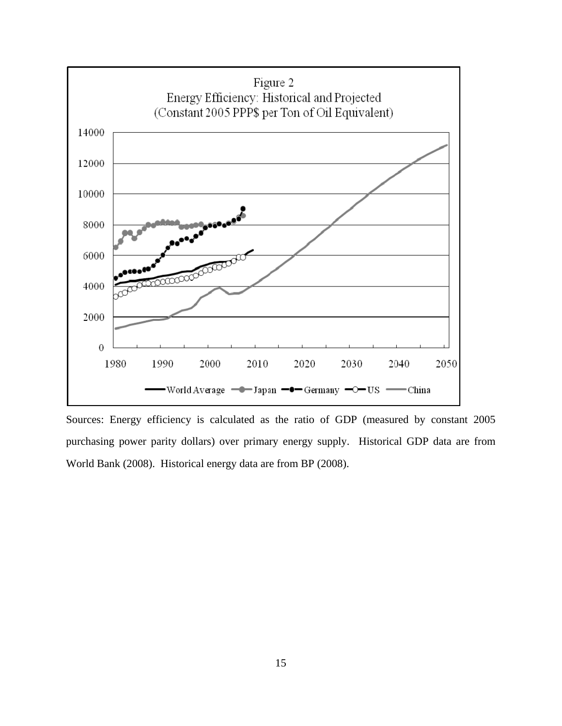

Sources: Energy efficiency is calculated as the ratio of GDP (measured by constant 2005 purchasing power parity dollars) over primary energy supply. Historical GDP data are from World Bank (2008). Historical energy data are from BP (2008).